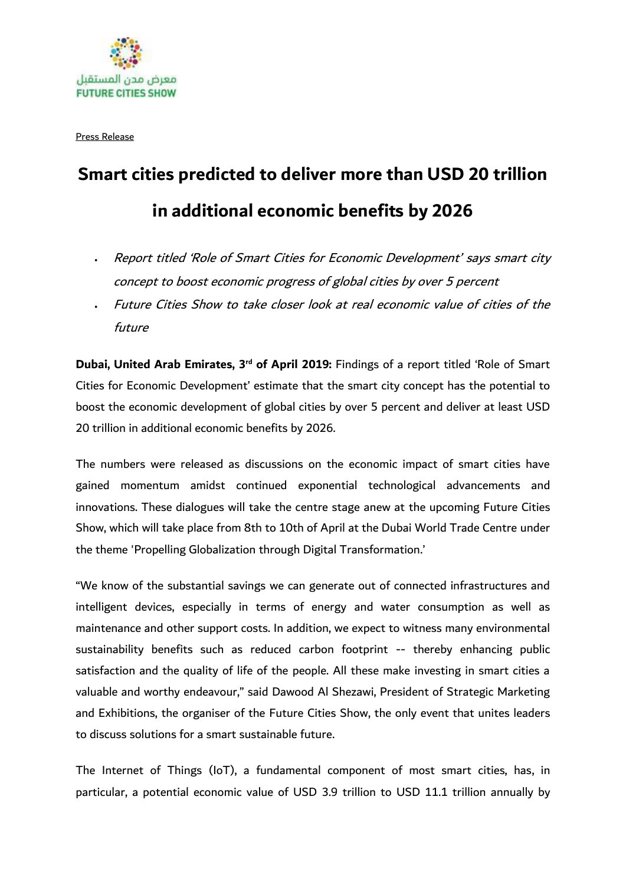

Press Release

## **Smart cities predicted to deliver more than USD 20 trillion in additional economic benefits by 2026**

- Report titled 'Role of Smart Cities for Economic Development' says smart city concept to boost economic progress of global cities by over 5 percent
- Future Cities Show to take closer look at real economic value of cities of the future

Dubai, United Arab Emirates, 3<sup>rd</sup> of April 2019: Findings of a report titled 'Role of Smart Cities for Economic Development' estimate that the smart city concept has the potential to boost the economic development of global cities by over 5 percent and deliver at least USD 20 trillion in additional economic benefits by 2026.

The numbers were released as discussions on the economic impact of smart cities have gained momentum amidst continued exponential technological advancements and innovations. These dialogues will take the centre stage anew at the upcoming Future Cities Show, which will take place from 8th to 10th of April at the Dubai World Trade Centre under the theme 'Propelling Globalization through Digital Transformation.'

"We know of the substantial savings we can generate out of connected infrastructures and intelligent devices, especially in terms of energy and water consumption as well as maintenance and other support costs. In addition, we expect to witness many environmental sustainability benefits such as reduced carbon footprint -- thereby enhancing public satisfaction and the quality of life of the people. All these make investing in smart cities a valuable and worthy endeavour," said Dawood Al Shezawi, President of Strategic Marketing and Exhibitions, the organiser of the Future Cities Show, the only event that unites leaders to discuss solutions for a smart sustainable future.

The Internet of Things (IoT), a fundamental component of most smart cities, has, in particular, a potential economic value of USD 3.9 trillion to USD 11.1 trillion annually by